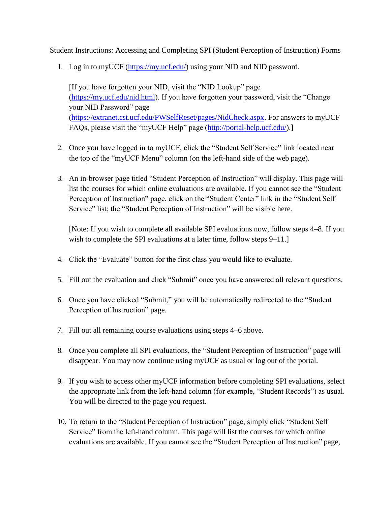Student Instructions: Accessing and Completing SPI (Student Perception of Instruction) Forms

1. Log in to myUCF [\(https://my.ucf.edu/\)](https://my.ucf.edu/) using your NID and NID password.

[If you have forgotten your NID, visit the "NID Lookup" page [\(https://my.ucf.edu/nid.html\)](https://my.ucf.edu/nid.html). If you have forgotten your password, visit the "Change your NID Password" page [\(https://extranet.cst.ucf.edu/PWSelfReset/pages/NidCheck.aspx.](https://extranet.cst.ucf.edu/PWSelfReset/pages/NidCheck.aspx) For answers to myUCF FAQs, please visit the "myUCF Help" page [\(http://portal-help.ucf.edu/\)](http://portal-help.ucf.edu/).]

- 2. Once you have logged in to myUCF, click the "Student Self Service" link located near the top of the "myUCF Menu" column (on the left-hand side of the web page).
- 3. An in-browser page titled "Student Perception of Instruction" will display. This page will list the courses for which online evaluations are available. If you cannot see the "Student Perception of Instruction" page, click on the "Student Center" link in the "Student Self Service" list; the "Student Perception of Instruction" will be visible here.

[Note: If you wish to complete all available SPI evaluations now, follow steps 4–8. If you wish to complete the SPI evaluations at a later time, follow steps 9–11.

- 4. Click the "Evaluate" button for the first class you would like to evaluate.
- 5. Fill out the evaluation and click "Submit" once you have answered all relevant questions.
- 6. Once you have clicked "Submit," you will be automatically redirected to the "Student Perception of Instruction" page.
- 7. Fill out all remaining course evaluations using steps 4–6 above.
- 8. Once you complete all SPI evaluations, the "Student Perception of Instruction" page will disappear. You may now continue using myUCF as usual or log out of the portal.
- 9. If you wish to access other myUCF information before completing SPI evaluations, select the appropriate link from the left-hand column (for example, "Student Records") as usual. You will be directed to the page you request.
- 10. To return to the "Student Perception of Instruction" page, simply click "Student Self Service" from the left-hand column. This page will list the courses for which online evaluations are available. If you cannot see the "Student Perception of Instruction" page,